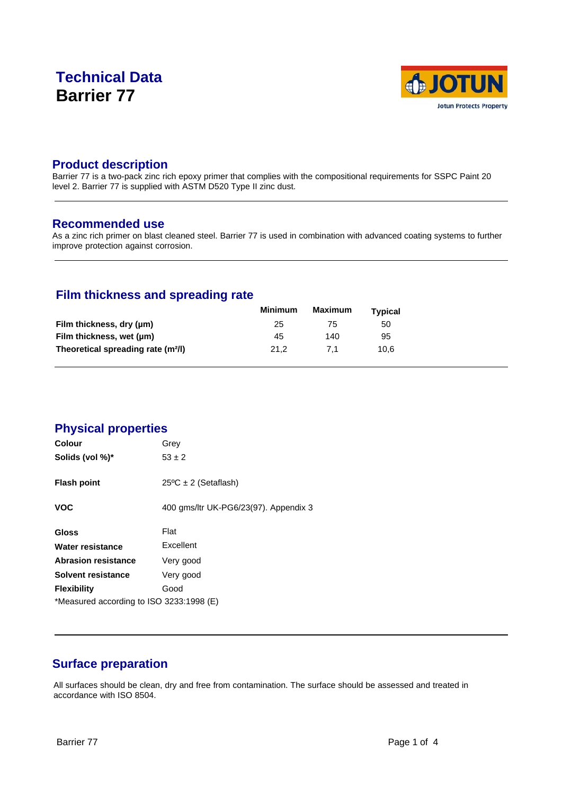# **Technical Data Barrier 77**



### **Product description**

Barrier 77 is a two-pack zinc rich epoxy primer that complies with the compositional requirements for SSPC Paint 20 level 2. Barrier 77 is supplied with ASTM D520 Type II zinc dust.

### **Recommended use**

As a zinc rich primer on blast cleaned steel. Barrier 77 is used in combination with advanced coating systems to further improve protection against corrosion.

# **Film thickness and spreading rate**

|                                                | Minimum | Maximum | Typical |  |
|------------------------------------------------|---------|---------|---------|--|
| Film thickness, dry (µm)                       | 25      | 75      | 50      |  |
| Film thickness, wet (um)                       | 45      | 140     | 95      |  |
| Theoretical spreading rate (m <sup>2</sup> /l) | 21.2    | 71      | 10.6    |  |

# **Physical properties**

| <b>Colour</b>                            | Grey                                  |  |  |  |  |
|------------------------------------------|---------------------------------------|--|--|--|--|
| Solids (vol %)*                          | $53 \pm 2$                            |  |  |  |  |
| <b>Flash point</b>                       | $25\textdegree C \pm 2$ (Setaflash)   |  |  |  |  |
| <b>VOC</b>                               | 400 gms/ltr UK-PG6/23(97). Appendix 3 |  |  |  |  |
| <b>Gloss</b>                             | Flat                                  |  |  |  |  |
| Water resistance                         | Excellent                             |  |  |  |  |
| <b>Abrasion resistance</b>               | Very good                             |  |  |  |  |
| Solvent resistance                       | Very good                             |  |  |  |  |
| <b>Flexibility</b>                       | Good                                  |  |  |  |  |
| *Measured according to ISO 3233:1998 (E) |                                       |  |  |  |  |

# **Surface preparation**

All surfaces should be clean, dry and free from contamination. The surface should be assessed and treated in accordance with ISO 8504.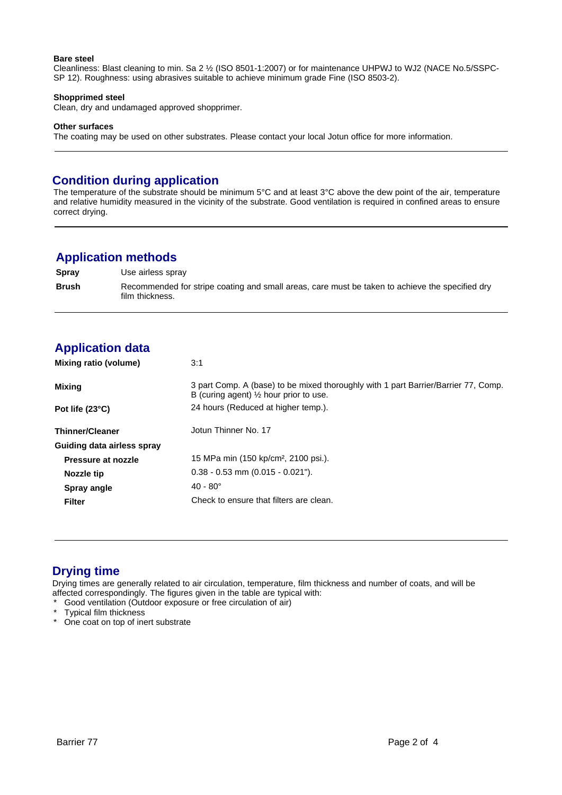#### **Bare steel**

Cleanliness: Blast cleaning to min. Sa 2 ½ (ISO 8501-1:2007) or for maintenance UHPWJ to WJ2 (NACE No.5/SSPC-SP 12). Roughness: using abrasives suitable to achieve minimum grade Fine (ISO 8503-2).

#### **Shopprimed steel**

Clean, dry and undamaged approved shopprimer.

#### **Other surfaces**

The coating may be used on other substrates. Please contact your local Jotun office for more information.

### **Condition during application**

The temperature of the substrate should be minimum 5°C and at least 3°C above the dew point of the air, temperature and relative humidity measured in the vicinity of the substrate. Good ventilation is required in confined areas to ensure correct drying.

## **Application methods**

| Spray        | Use airless spray                                                                                                  |
|--------------|--------------------------------------------------------------------------------------------------------------------|
| <b>Brush</b> | Recommended for stripe coating and small areas, care must be taken to achieve the specified dry<br>film thickness. |

# **Application data**

| Mixing ratio (volume)      | 3:1                                                                                                                                     |
|----------------------------|-----------------------------------------------------------------------------------------------------------------------------------------|
| Mixing                     | 3 part Comp. A (base) to be mixed thoroughly with 1 part Barrier/Barrier 77, Comp.<br>B (curing agent) $\frac{1}{2}$ hour prior to use. |
| Pot life $(23^{\circ}C)$   | 24 hours (Reduced at higher temp.).                                                                                                     |
| <b>Thinner/Cleaner</b>     | Jotun Thinner No. 17                                                                                                                    |
| Guiding data airless spray |                                                                                                                                         |
| Pressure at nozzle         | 15 MPa min (150 kp/cm <sup>2</sup> , 2100 psi.).                                                                                        |
| Nozzle tip                 | $0.38 - 0.53$ mm $(0.015 - 0.021)$ .                                                                                                    |
| Spray angle                | $40 - 80^{\circ}$                                                                                                                       |
| <b>Filter</b>              | Check to ensure that filters are clean.                                                                                                 |
|                            |                                                                                                                                         |

### **Drying time**

Drying times are generally related to air circulation, temperature, film thickness and number of coats, and will be affected correspondingly. The figures given in the table are typical with:

- \* Good ventilation (Outdoor exposure or free circulation of air)
- \* Typical film thickness
- \* One coat on top of inert substrate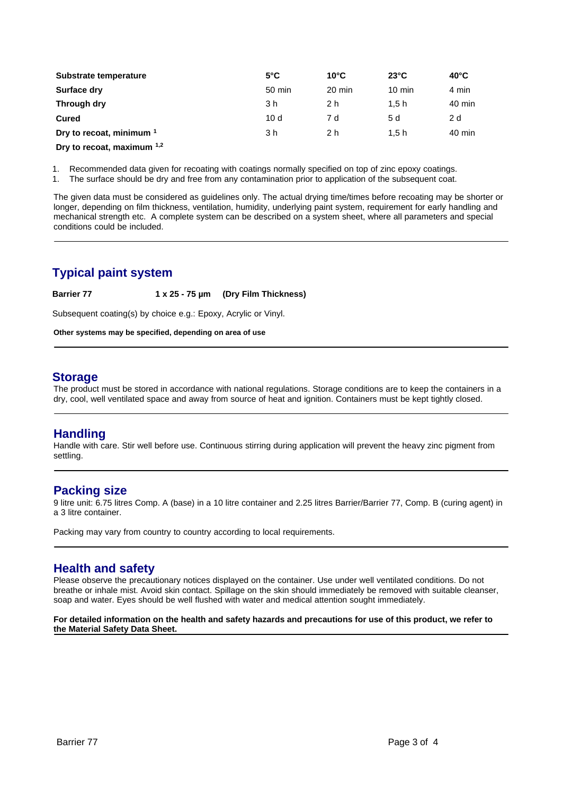| Substrate temperature               | $5^{\circ}$ C | $10^{\circ}$ C   | $23^{\circ}$ C   | $40^{\circ}$ C |
|-------------------------------------|---------------|------------------|------------------|----------------|
| Surface dry                         | 50 min        | $20 \text{ min}$ | $10 \text{ min}$ | 4 min          |
| Through dry                         | 3 h           | 2 h              | 1.5h             | 40 min         |
| <b>Cured</b>                        | 10d           | 7 d              | 5 d              | 2 d            |
| Dry to recoat, minimum <sup>1</sup> | 3 h           | 2 h              | 1.5h             | 40 min         |
| Dry to recoat, maximum $1,2$        |               |                  |                  |                |

1. Recommended data given for recoating with coatings normally specified on top of zinc epoxy coatings.

1. The surface should be dry and free from any contamination prior to application of the subsequent coat.

The given data must be considered as guidelines only. The actual drying time/times before recoating may be shorter or longer, depending on film thickness, ventilation, humidity, underlying paint system, requirement for early handling and mechanical strength etc. A complete system can be described on a system sheet, where all parameters and special conditions could be included.

# **Typical paint system**

Barrier 77 **1 x 25 - 75 µm** (Dry Film Thickness)

Subsequent coating(s) by choice e.g.: Epoxy, Acrylic or Vinyl.

**Other systems may be specified, depending on area of use**

#### **Storage**

The product must be stored in accordance with national regulations. Storage conditions are to keep the containers in a dry, cool, well ventilated space and away from source of heat and ignition. Containers must be kept tightly closed.

#### **Handling**

Handle with care. Stir well before use. Continuous stirring during application will prevent the heavy zinc pigment from settling.

### **Packing size**

9 litre unit: 6.75 litres Comp. A (base) in a 10 litre container and 2.25 litres Barrier/Barrier 77, Comp. B (curing agent) in a 3 litre container.

Packing may vary from country to country according to local requirements.

#### **Health and safety**

Please observe the precautionary notices displayed on the container. Use under well ventilated conditions. Do not breathe or inhale mist. Avoid skin contact. Spillage on the skin should immediately be removed with suitable cleanser, soap and water. Eyes should be well flushed with water and medical attention sought immediately.

#### **For detailed information on the health and safety hazards and precautions for use of this product, we refer to the Material Safety Data Sheet.**